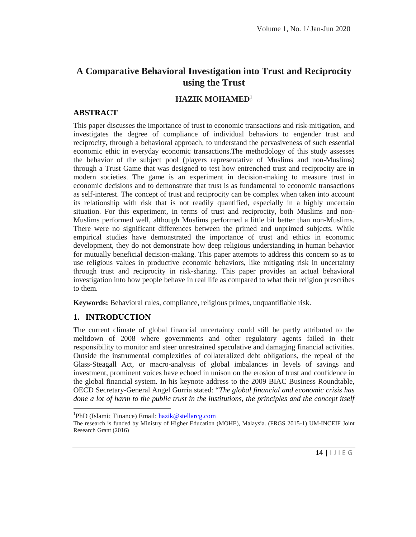# **A Comparative Behavioral Investigation into Trust and Reciprocity using the Trust**

## **HAZIK MOHAMED**<sup>1</sup>

#### **ABSTRACT**

This paper discusses the importance of trust to economic transactions and risk-mitigation, and investigates the degree of compliance of individual behaviors to engender trust and reciprocity, through a behavioral approach, to understand the pervasiveness of such essential economic ethic in everyday economic transactions.The methodology of this study assesses the behavior of the subject pool (players representative of Muslims and non-Muslims) through a Trust Game that was designed to test how entrenched trust and reciprocity are in modern societies. The game is an experiment in decision-making to measure trust in economic decisions and to demonstrate that trust is as fundamental to economic transactions as self-interest. The concept of trust and reciprocity can be complex when taken into account its relationship with risk that is not readily quantified, especially in a highly uncertain situation. For this experiment, in terms of trust and reciprocity, both Muslims and non- Muslims performed well, although Muslims performed a little bit better than non-Muslims. There were no significant differences between the primed and unprimed subjects. While empirical studies have demonstrated the importance of trust and ethics in economic development, they do not demonstrate how deep religious understanding in human behavior for mutually beneficial decision-making. This paper attempts to address this concern so as to use religious values in productive economic behaviors, like mitigating risk in uncertainty through trust and reciprocity in risk-sharing. This paper provides an actual behavioral investigation into how people behave in real life as compared to what their religion prescribes to them.

**Keywords:** Behavioral rules, compliance, religious primes, unquantifiable risk.

#### **1. INTRODUCTION**

The current climate of global financial uncertainty could still be partly attributed to the meltdown of 2008 where governments and other regulatory agents failed in their responsibility to monitor and steer unrestrained speculative and damaging financial activities. Outside the instrumental complexities of collateralized debt obligations, the repeal of the Glass-Steagall Act, or macro-analysis of global imbalances in levels of savings and investment, prominent voices have echoed in unison on the erosion of trust and confidence in the global financial system. In his keynote address to the 2009 BIAC Business Roundtable, OECD Secretary-General Angel Gurría stated: "*The global financial and economic crisis has done a lot of harm to the public trust in the institutions, the principles and the concept itself*

<sup>&</sup>lt;sup>1</sup>PhD (Islamic Finance) Email:  $\frac{\text{hazik}\omega}{\text{gcllarcg.com}}$ 

M-INCEIF Joint<br>14 |  $| J | E G$ The research is funded by Ministry of Higher Education (MOHE), Malaysia. (FRGS 2015-1) UM-INCEIF Joint Research Grant (2016)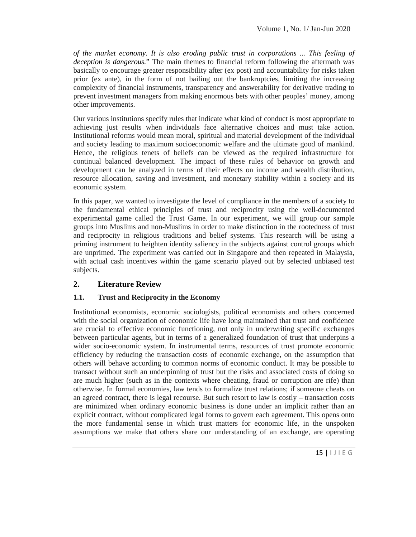*of the market economy. It is also eroding public trust in corporations ... This feeling of deception is dangerous.*" The main themes to financial reform following the aftermath was basically to encourage greater responsibility after (ex post) and accountability for risks taken prior (ex ante), in the form of not bailing out the bankruptcies, limiting the increasing complexity of financial instruments, transparency and answerability for derivative trading to prevent investment managers from making enormous bets with other peoples' money, among other improvements.

Our various institutions specify rules that indicate what kind of conduct is most appropriate to achieving just results when individuals face alternative choices and must take action. Institutional reforms would mean moral, spiritual and material development of the individual and society leading to maximum socioeconomic welfare and the ultimate good of mankind. Hence, the religious tenets of beliefs can be viewed as the required infrastructure for continual balanced development. The impact of these rules of behavior on growth and development can be analyzed in terms of their effects on income and wealth distribution, resource allocation, saving and investment, and monetary stability within a society and its economic system.

In this paper, we wanted to investigate the level of compliance in the members of a society to the fundamental ethical principles of trust and reciprocity using the well-documented experimental game called the Trust Game. In our experiment, we will group our sample groups into Muslims and non-Muslims in order to make distinction in the rootedness of trust and reciprocity in religious traditions and belief systems. This research will be using a priming instrument to heighten identity saliency in the subjects against control groups which are unprimed. The experiment was carried out in Singapore and then repeated in Malaysia, with actual cash incentives within the game scenario played out by selected unbiased test subjects.

# **2. Literature Review**

#### **1.1. Trust and Reciprocity in the Economy**

the unit of the unit of the unit of the unit of the unit of the same operating<br>  $15 \mid 1 \mid 1 \in G$ Institutional economists, economic sociologists, political economists and others concerned with the social organization of economic life have long maintained that trust and confidence are crucial to effective economic functioning, not only in underwriting specific exchanges between particular agents, but in terms of a generalized foundation of trust that underpins a wider socio-economic system. In instrumental terms, resources of trust promote economic efficiency by reducing the transaction costs of economic exchange, on the assumption that others will behave according to common norms of economic conduct. It may be possible to transact without such an underpinning of trust but the risks and associated costs of doing so are much higher (such as in the contexts where cheating, fraud or corruption are rife) than otherwise. In formal economies, law tends to formalize trust relations; if someone cheats on an agreed contract, there is legal recourse. But such resort to law is costly – transaction costs are minimized when ordinary economic business is done under an implicit rather than an explicit contract, without complicated legal forms to govern each agreement. This opens onto the more fundamental sense in which trust matters for economic life, in the unspoken assumptions we make that others share our understanding of an exchange, are operating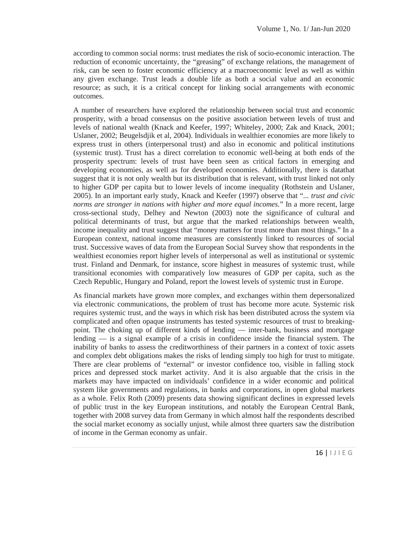according to common social norms: trust mediates the risk of socio-economic interaction. The reduction of economic uncertainty, the "greasing" of exchange relations, the management of risk, can be seen to foster economic efficiency at a macroeconomic level as well as within any given exchange. Trust leads a double life as both a social value and an economic resource; as such, it is a critical concept for linking social arrangements with economic outcomes.

A number of researchers have explored the relationship between social trust and economic prosperity, with a broad consensus on the positive association between levels of trust and levels of national wealth (Knack and Keefer, 1997; Whiteley, 2000; Zak and Knack, 2001; Uslaner, 2002; Beugelsdjik et al, 2004). Individuals in wealthier economies are more likely to express trust in others (interpersonal trust) and also in economic and political institutions (systemic trust). Trust has a direct correlation to economic well-being at both ends of the prosperity spectrum: levels of trust have been seen as critical factors in emerging and developing economies, as well as for developed economies. Additionally, there is datathat suggest that it is not only wealth but its distribution that is relevant, with trust linked not only to higher GDP per capita but to lower levels of income inequality (Rothstein and Uslaner, 2005). In an important early study, Knack and Keefer (1997) observe that "*... trust and civic norms are stronger in nations with higher and more equal incomes.*" In a more recent, large cross-sectional study, Delhey and Newton (2003) note the significance of cultural and political determinants of trust, but argue that the marked relationships between wealth, income inequality and trust suggest that "money matters for trust more than most things." In a European context, national income measures are consistently linked to resources of social trust. Successive waves of data from the European Social Survey show that respondents in the wealthiest economies report higher levels of interpersonal as well as institutional or systemic trust. Finland and Denmark, for instance, score highest in measures of systemic trust, while transitional economies with comparatively low measures of GDP per capita, such as the Czech Republic, Hungary and Poland, report the lowest levels of systemic trust in Europe.

tendar Bank,<br>nts described<br>e distribution<br>16 |  $| J | E G$ As financial markets have grown more complex, and exchanges within them depersonalized via electronic communications, the problem of trust has become more acute. Systemic risk requires systemic trust, and the ways in which risk has been distributed across the system via complicated and often opaque instruments has tested systemic resources of trust to breaking point. The choking up of different kinds of lending — inter-bank, business and mortgage lending  $\overline{\phantom{a}}$  is a signal example of a crisis in confidence inside the financial system. The inability of banks to assess the creditworthiness of their partners in a context of toxic assets and complex debt obligations makes the risks of lending simply too high for trust to mitigate. There are clear problems of "external" or investor confidence too, visible in falling stock prices and depressed stock market activity. And it is also arguable that the crisis in the markets may have impacted on individuals' confidence in a wider economic and political system like governments and regulations, in banks and corporations, in open global markets as a whole. Felix Roth (2009) presents data showing significant declines in expressed levels of public trust in the key European institutions, and notably the European Central Bank, together with 2008 survey data from Germany in which almost half the respondents described the social market economy as socially unjust, while almost three quarters saw the distribution of income in the German economy as unfair.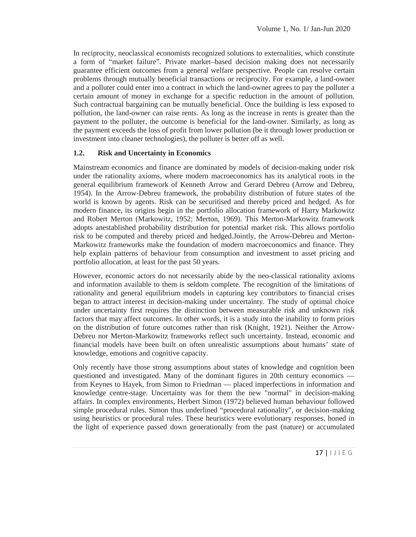In reciprocity, neoclassical economists recognized solutions to externalities, which constitute a form of "market failure". Private market–based decision making does not necessarily guarantee efficient outcomes from a general welfare perspective. People can resolve certain problems through mutually beneficial transactions or reciprocity. For example, a land-owner and a polluter could enter into a contract in which the land-owner agrees to pay the polluter a certain amount of money in exchange for a specific reduction in the amount of pollution. Such contractual bargaining can be mutually beneficial. Once the building is less exposed to pollution, the land-owner can raise rents. As long as the increase in rents is greater than the payment to the polluter, the outcome is beneficial for the land-owner. Similarly, as long as the payment exceeds the loss of profit from lower pollution (be it through lower production or investment into cleaner technologies), the polluter is better off as well.

#### **1.2. Risk and Uncertainty in Economics**

Mainstream economics and finance are dominated by models of decision-making under risk under the rationality axioms, where modern macroeconomics has its analytical roots in the general equilibrium framework of Kenneth Arrow and Gerard Debreu (Arrow and Debreu, 1954). In the Arrow-Debreu framework, the probability distribution of future states of the world is known by agents. Risk can be securitised and thereby priced and hedged. As for modern finance, its origins begin in the portfolio allocation framework of Harry Markowitz and Robert Merton (Markowitz, 1952; Merton, 1969). This Merton-Markowitz framework adopts anestablished probability distribution for potential market risk. This allows portfolio risk to be computed and thereby priced and hedged.Jointly, the Arrow-Debreu and Merton- Markowitz frameworks make the foundation of modern macroeconomics and finance. They help explain patterns of behaviour from consumption and investment to asset pricing and portfolio allocation, at least for the past 50 years.

However, economic actors do not necessarily abide by the neo-classical rationality axioms and information available to them is seldom complete. The recognition of the limitations of rationality and general equilibrium models in capturing key contributors to financial crises began to attract interest in decision-making under uncertainty. The study of optimal choice under uncertainty first requires the distinction between measurable risk and unknown risk factors that may affect outcomes. In other words, it is a study into the inability to form priors on the distribution of future outcomes rather than risk (Knight, 1921). Neither the Arrow- Debreu nor Merton-Markowitz frameworks reflect such uncertainty. Instead, economic and financial models have been built on often unrealistic assumptions about humans' state of knowledge, emotions and cognitive capacity.

ision-making<br>ses, honed in<br>accumulated<br>17 | | J | E G Only recently have those strong assumptions about states of knowledge and cognition been questioned and investigated. Many of the dominant figures in 20th century economics from Keynes to Hayek, from Simon to Friedman — placed imperfections in information and knowledge centre-stage. Uncertainty was for them the new "normal" in decision-making affairs. In complex environments, Herbert Simon (1972) believed human behaviour followed simple procedural rules. Simon thus underlined "procedural rationality", or decision-making using heuristics or procedural rules. These heuristics were evolutionary responses, honed in the light of experience passed down generationally from the past (nature) or accumulated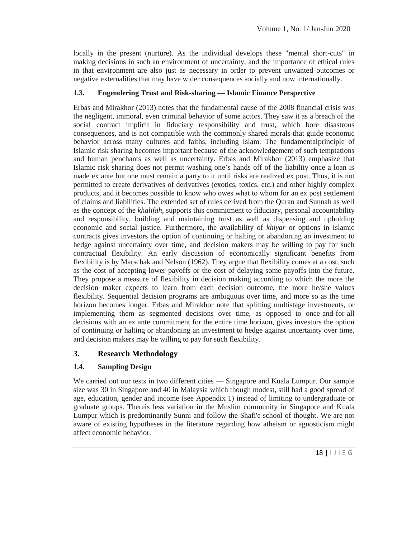locally in the present (nurture). As the individual develops these "mental short-cuts" in making decisions in such an environment of uncertainty, and the importance of ethical rules in that environment are also just as necessary in order to prevent unwanted outcomes or negative externalities that may have wider consequences socially and now internationally.

## **1.3. Engendering Trust and Risk-sharing — Islamic Finance Perspective**

Erbas and Mirakhor (2013) notes that the fundamental cause of the 2008 financial crisis was the negligent, immoral, even criminal behavior of some actors. They saw it as a breach of the social contract implicit in fiduciary responsibility and trust, which bore disastrous consequences, and is not compatible with the commonly shared morals that guide economic behavior across many cultures and faiths, including Islam. The fundamentalprinciple of Islamic risk sharing becomes important because of the acknowledgement of such temptations and human penchants as well as uncertainty. Erbas and Mirakhor (2013) emphasize that Islamic risk sharing does not permit washing one's hands off of the liability once a loan is made ex ante but one must remain a party to it until risks are realized ex post. Thus, it is not permitted to create derivatives of derivatives (exotics, toxics, etc.) and other highly complex products, and it becomes possible to know who owes what to whom for an ex post settlement of claims and liabilities. The extended set of rules derived from the Quran and Sunnah as well as the concept of the *khalifah*, supports this commitment to fiduciary, personal accountability and responsibility, building and maintaining trust as well as dispensing and upholding economic and social justice. Furthermore, the availability of *khiyar* or options in Islamic contracts gives investors the option of continuing or halting or abandoning an investment to hedge against uncertainty over time, and decision makers may be willing to pay for such contractual flexibility. An early discussion of economically significant benefits from flexibility is by Marschak and Nelson (1962). They argue that flexibility comes at a cost, such as the cost of accepting lower payoffs or the cost of delaying some payoffs into the future. They propose a measure of flexibility in decision making according to which the more the decision maker expects to learn from each decision outcome, the more he/she values flexibility. Sequential decision programs are ambiguous over time, and more so as the time horizon becomes longer. Erbas and Mirakhor note that splitting multistage investments, or implementing them as segmented decisions over time, as opposed to once-and-for-all decisions with an ex ante commitment for the entire time horizon, gives investors the option of continuing or halting or abandoning an investment to hedge against uncertainty over time, and decision makers may be willing to pay for such flexibility.

# **3. Research Methodology**

#### **1.4. Sampling Design**

1. We are not<br>ticism might<br>18 |  $1 J 1 E G$ We carried out our tests in two different cities — Singapore and Kuala Lumpur. Our sample size was 30 in Singapore and 40 in Malaysia which though modest, still had a good spread of age, education, gender and income (see Appendix 1) instead of limiting to undergraduate or graduate groups. Thereis less variation in the Muslim community in Singapore and Kuala Lumpur which is predominantly Sunni and follow the Shafi'e school of thought. We are not aware of existing hypotheses in the literature regarding how atheism or agnosticism might affect economic behavior.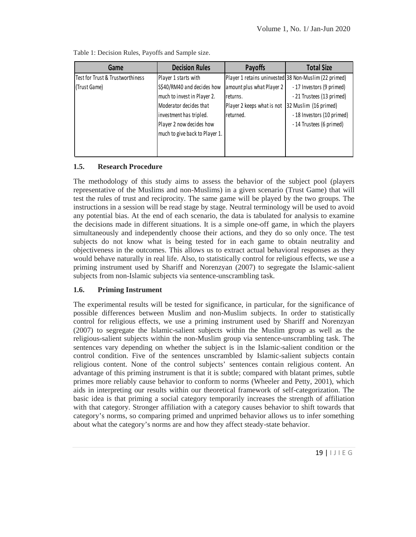| Game                             | <b>Decision Rules</b>          | <b>Payoffs</b>             | <b>Total Size</b>                                     |
|----------------------------------|--------------------------------|----------------------------|-------------------------------------------------------|
| Test for Trust & Trustworthiness | Player 1 starts with           |                            | Player 1 retains uninvested 38 Non-Muslim (22 primed) |
| (Trust Game)                     | S\$40/RM40 and decides how     | amount plus what Player 2  | -17 Investors (9 primed)                              |
|                                  | much to invest in Player 2.    | returns.                   | -21 Trustees (13 primed)                              |
|                                  | Moderator decides that         | Player 2 keeps what is not | 32 Muslim (16 primed)                                 |
|                                  | investment has tripled.        | returned.                  | -18 Investors (10 primed)                             |
|                                  | Player 2 now decides how       |                            | -14 Trustees (6 primed)                               |
|                                  | much to give back to Player 1. |                            |                                                       |
|                                  |                                |                            |                                                       |
|                                  |                                |                            |                                                       |

Table 1: Decision Rules, Payoffs and Sample size.

## **1.5. Research Procedure**

The methodology of this study aims to assess the behavior of the subject pool (players representative of the Muslims and non-Muslims) in a given scenario (Trust Game) that will test the rules of trust and reciprocity. The same game will be played by the two groups. The instructions in a session will be read stage by stage. Neutral terminology will be used to avoid any potential bias. At the end of each scenario, the data is tabulated for analysis to examine the decisions made in different situations. It is a simple one-off game, in which the players simultaneously and independently choose their actions, and they do so only once. The test subjects do not know what is being tested for in each game to obtain neutrality and objectiveness in the outcomes. This allows us to extract actual behavioral responses as they would behave naturally in real life. Also, to statistically control for religious effects, we use a priming instrument used by Shariff and Norenzyan (2007) to segregate the Islamic-salient subjects from non-Islamic subjects via sentence-unscrambling task.

# **1.6. Priming Instrument**

towards that<br>  $\text{er something}$ <br>  $\text{19}$  |  $\text{11}$  I E G The experimental results will be tested for significance, in particular, for the significance of possible differences between Muslim and non-Muslim subjects. In order to statistically control for religious effects, we use a priming instrument used by Shariff and Norenzyan (2007) to segregate the Islamic-salient subjects within the Muslim group as well as the religious-salient subjects within the non-Muslim group via sentence-unscrambling task. The sentences vary depending on whether the subject is in the Islamic-salient condition or the control condition. Five of the sentences unscrambled by Islamic-salient subjects contain religious content. None of the control subjects' sentences contain religious content. An advantage of this priming instrument is that it is subtle; compared with blatant primes, subtle primes more reliably cause behavior to conform to norms (Wheeler and Petty, 2001), which aids in interpreting our results within our theoretical framework of self-categorization. The basic idea is that priming a social category temporarily increases the strength of affiliation with that category. Stronger affiliation with a category causes behavior to shift towards that category's norms, so comparing primed and unprimed behavior allows us to infer something about what the category's norms are and how they affect steady-state behavior.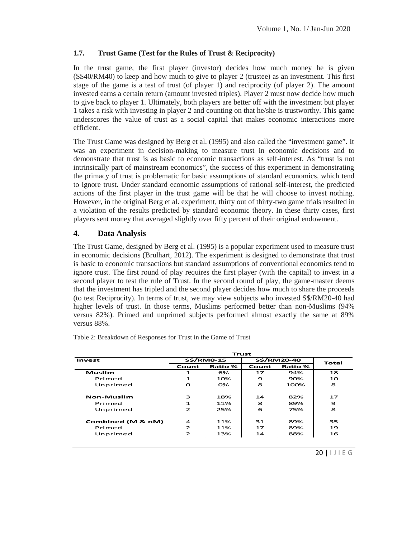#### **1.7. Trust Game (Test for the Rules of Trust & Reciprocity)**

In the trust game, the first player (investor) decides how much money he is given (S\$40/RM40) to keep and how much to give to player 2 (trustee) as an investment. This first stage of the game is a test of trust (of player 1) and reciprocity (of player 2). The amount invested earns a certain return (amount invested triples). Player 2 must now decide how much to give back to player 1. Ultimately, both players are better off with the investment but player 1 takes a risk with investing in player 2 and counting on that he/she is trustworthy. This game underscores the value of trust as a social capital that makes economic interactions more efficient.

The Trust Game was designed by Berg et al. (1995) and also called the "investment game". It was an experiment in decision-making to measure trust in economic decisions and to demonstrate that trust is as basic to economic transactions as self-interest. As "trust is not intrinsically part of mainstream economics", the success of this experiment in demonstrating the primacy of trust is problematic for basic assumptions of standard economics, which tend to ignore trust. Under standard economic assumptions of rational self-interest, the predicted actions of the first player in the trust game will be that he will choose to invest nothing. However, in the original Berg et al. experiment, thirty out of thirty-two game trials resulted in a violation of the results predicted by standard economic theory. In these thirty cases, first players sent money that averaged slightly over fifty percent of their original endowment.

#### **4. Data Analysis**

The Trust Game, designed by Berg et al. (1995) is a popular experiment used to measure trust in economic decisions (Brulhart, 2012). The experiment is designed to demonstrate that trust is basic to economic transactions but standard assumptions of conventional economics tend to ignore trust. The first round of play requires the first player (with the capital) to invest in a second player to test the rule of Trust. In the second round of play, the game-master deems that the investment has tripled and the second player decides how much to share the proceeds (to test Reciprocity). In terms of trust, we may view subjects who invested S\$/RM20-40 had higher levels of trust. In those terms, Muslims performed better than non-Muslims (94% versus 82%). Primed and unprimed subjects performed almost exactly the same at 89% versus 88%.

| <b>Trust</b>      |                                         |                |    |                |              |  |
|-------------------|-----------------------------------------|----------------|----|----------------|--------------|--|
| Invest            | <b>S\$/RM0-15</b><br><b>S\$/RM20-40</b> |                |    | <b>Total</b>   |              |  |
|                   | Count                                   | <b>Ratio %</b> |    | <b>Ratio %</b> |              |  |
| Muslim            | 1                                       | 6%             | 17 | 94%            | 18           |  |
| Primed            | $\mathbf{1}$                            | 10%            | 9  | 90%            | 10           |  |
| Unprimed          | $\mathbf{o}$                            | 0%             | 8  | 100%           | 8            |  |
| Non-Muslim        | 3                                       | 18%            | 14 | 82%            | 17           |  |
| Primed            | $\mathbf{1}$                            | 11%            | 8  | 89%            | 9            |  |
| Unprimed          | $\overline{2}$                          | 25%            | 6  | 75%            | 8            |  |
| Combined (M & nM) | $\overline{a}$                          | 11%            | 31 | 89%            | 35           |  |
| Primed            | $\overline{2}$                          | 11%            | 17 | 89%            | 19           |  |
| Unprimed          | $\overline{2}$                          | 13%            | 14 | 88%            | 16           |  |
|                   |                                         |                |    |                | $20$   IJIEG |  |

Table 2: Breakdown of Responses for Trust in the Game of Trust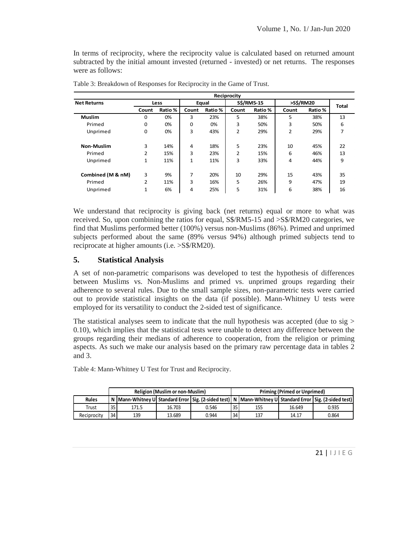In terms of reciprocity, where the reciprocity value is calculated based on returned amount subtracted by the initial amount invested (returned - invested) or net returns. The responses were as follows:

| Reciprocity        |                |                                      |             |       |                   |         |                |         |              |  |
|--------------------|----------------|--------------------------------------|-------------|-------|-------------------|---------|----------------|---------|--------------|--|
| <b>Net Returns</b> | Less           |                                      |             | Equal | <b>S\$/RM5-15</b> |         | >S\$/RM20      |         | <b>Total</b> |  |
|                    | Count          | Ratio %<br>Ratio %<br>Count<br>Count |             |       |                   | Ratio % | Count          | Ratio % |              |  |
| <b>Muslim</b>      | $\Omega$       | 0%                                   | 3           | 23%   | 5                 | 38%     | 5              | 38%     | 13           |  |
| Primed             | 0              | 0%                                   | $\mathbf 0$ | 0%    | 3                 | 50%     | 3              | 50%     | 6            |  |
| Unprimed           | 0              | 0%                                   | 3           | 43%   | 2                 | 29%     | $\overline{2}$ | 29%     | 7            |  |
| <b>Non-Muslim</b>  | 3              | 14%                                  | 4           | 18%   | 5                 | 23%     | 10             | 45%     | 22           |  |
| Primed             | 2              | 15%                                  | 3           | 23%   | 2                 | 15%     | 6              | 46%     | 13           |  |
| Unprimed           | 1              | 11%                                  | 1           | 11%   | 3                 | 33%     | 4              | 44%     | 9            |  |
| Combined (M & nM)  | 3              | 9%                                   | 7           | 20%   | 10                | 29%     | 15             | 43%     | 35           |  |
| Primed             | $\overline{2}$ | 11%                                  | 3           | 16%   | 5                 | 26%     | 9              | 47%     | 19           |  |
| Unprimed           | $\mathbf{1}$   | 6%                                   | 4           | 25%   | 5                 | 31%     | 6              | 38%     | 16           |  |

Table 3: Breakdown of Responses for Reciprocity in the Game of Trust.

We understand that reciprocity is giving back (net returns) equal or more to what was received. So, upon combining the ratios for equal, S\$/RM5-15 and >S\$/RM20 categories, we find that Muslims performed better (100%) versus non-Muslims (86%). Primed and unprimed subjects performed about the same (89% versus 94%) although primed subjects tend to reciprocate at higher amounts (i.e. >S\$/RM20).

#### **5. Statistical Analysis**

A set of non-parametric comparisons was developed to test the hypothesis of differences between Muslims vs. Non-Muslims and primed vs. unprimed groups regarding their adherence to several rules. Due to the small sample sizes, non-parametric tests were carried out to provide statistical insights on the data (if possible). Mann-Whitney U tests were employed for its versatility to conduct the 2-sided test of significance.

The statistical analyses seem to indicate that the null hypothesis was accepted (due to  $sig >$ 0.10), which implies that the statistical tests were unable to detect any difference between the groups regarding their medians of adherence to cooperation, from the religion or priming aspects. As such we make our analysis based on the primary raw percentage data in tables 2 and 3.

Table 4: Mann-Whitney U Test for Trust and Reciprocity.

|              | <b>Religion (Muslim or non-Muslim)</b> |       |        |                                                                                                                   | <b>Priming (Primed or Unprimed)</b> |     |        |               |  |
|--------------|----------------------------------------|-------|--------|-------------------------------------------------------------------------------------------------------------------|-------------------------------------|-----|--------|---------------|--|
| <b>Rules</b> |                                        |       |        | N  Mann-Whitney U  Standard Error   Sig. (2-sided test)   N  Mann-Whitney U  Standard Error   Sig. (2-sided test) |                                     |     |        |               |  |
| Trust        | 35                                     | 171.5 | 16.703 | 0.546                                                                                                             | 35                                  | 155 | 16.649 | 0.935         |  |
| Reciprocity  | 34                                     | 139   | 13.689 | 0.944                                                                                                             | 34                                  | 137 | 14.17  | 0.864         |  |
|              |                                        |       |        |                                                                                                                   |                                     |     |        |               |  |
|              |                                        |       |        |                                                                                                                   |                                     |     |        |               |  |
|              |                                        |       |        |                                                                                                                   |                                     |     |        |               |  |
|              |                                        |       |        |                                                                                                                   |                                     |     |        | $21$   $JIEG$ |  |
|              |                                        |       |        |                                                                                                                   |                                     |     |        |               |  |
|              |                                        |       |        |                                                                                                                   |                                     |     |        |               |  |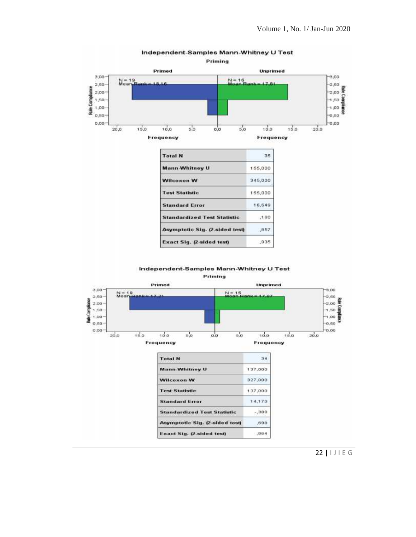

Independent-Samples Mann-Whitney U Test

Independent-Samples Mann-Whitney U Test

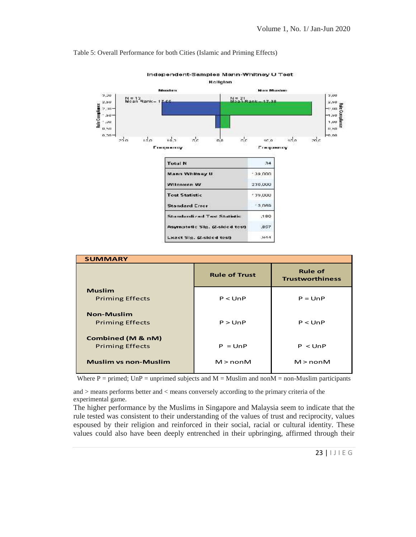#### Table 5: Overall Performance for both Cities (Islamic and Priming Effects)



Independent-Samples Mann-Whitney U Test

| <b>SUMMARY</b>              |                      |                                          |  |  |  |  |  |
|-----------------------------|----------------------|------------------------------------------|--|--|--|--|--|
|                             | <b>Rule of Trust</b> | <b>Rule of</b><br><b>Trustworthiness</b> |  |  |  |  |  |
| <b>Muslim</b>               |                      |                                          |  |  |  |  |  |
| <b>Priming Effects</b>      | P < UnP              | $P = UNP$                                |  |  |  |  |  |
| <b>Non-Muslim</b>           |                      |                                          |  |  |  |  |  |
| <b>Priming Effects</b>      | P > UNP              | P < UnP                                  |  |  |  |  |  |
| Combined (M & nM)           |                      |                                          |  |  |  |  |  |
| <b>Priming Effects</b>      | $P = UNP$            | P < UnP                                  |  |  |  |  |  |
| <b>Muslim vs non-Muslim</b> | $M > n$ on $M$       | $M > n$ on $M$                           |  |  |  |  |  |

Where  $P =$  primed; UnP = unprimed subjects and  $M =$  Muslim and non $M =$  non-Muslim participants

and > means performs better and < means conversely according to the primary criteria of the experimental game.

Final the cocity, values<br>entity. These<br>through their<br>23 |  $1 \cup 1 \in G$ The higher performance by the Muslims in Singapore and Malaysia seem to indicate that the rule tested was consistent to their understanding of the values of trust and reciprocity, values espoused by their religion and reinforced in their social, racial or cultural identity. These values could also have been deeply entrenched in their upbringing, affirmed through their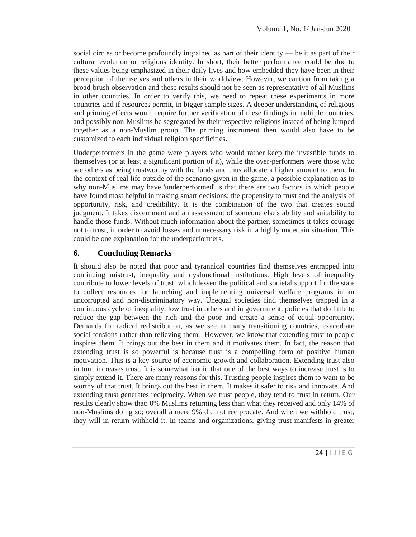social circles or become profoundly ingrained as part of their identity — be it as part of their cultural evolution or religious identity. In short, their better performance could be due to these values being emphasized in their daily lives and how embedded they have been in their perception of themselves and others in their worldview. However, we caution from taking a broad-brush observation and these results should not be seen as representative of all Muslims in other countries. In order to verify this, we need to repeat these experiments in more countries and if resources permit, in bigger sample sizes. A deeper understanding of religious and priming effects would require further verification of these findings in multiple countries, and possibly non-Muslims be segregated by their respective religions instead of being lumped together as a non-Muslim group. The priming instrument then would also have to be customized to each individual religion specificities.

Underperformers in the game were players who would rather keep the investible funds to themselves (or at least a significant portion of it), while the over-performers were those who see others as being trustworthy with the funds and thus allocate a higher amount to them. In the context of real life outside of the scenario given in the game, a possible explanation as to why non-Muslims may have 'underperformed' is that there are two factors in which people have found most helpful in making smart decisions: the propensity to trust and the analysis of opportunity, risk, and credibility. It is the combination of the two that creates sound judgment. It takes discernment and an assessment of someone else's ability and suitability to handle those funds. Without much information about the partner, sometimes it takes courage not to trust, in order to avoid losses and unnecessary risk in a highly uncertain situation. This could be one explanation for the underperformers.

# **6. Concluding Remarks**

ithhold trust,<br>sts in greater<br>24 |  $|J| \in G$ It should also be noted that poor and tyrannical countries find themselves entrapped into continuing mistrust, inequality and dysfunctional institutions. High levels of inequality contribute to lower levels of trust, which lessen the political and societal support for the state to collect resources for launching and implementing universal welfare programs in an uncorrupted and non-discriminatory way. Unequal societies find themselves trapped in a continuous cycle of inequality, low trust in others and in government, policies that do little to reduce the gap between the rich and the poor and create a sense of equal opportunity. Demands for radical redistribution, as we see in many transitioning countries, exacerbate social tensions rather than relieving them. However, we know that extending trust to people inspires them. It brings out the best in them and it motivates them. In fact, the reason that extending trust is so powerful is because trust is a compelling form of positive human motivation. This is a key source of economic growth and collaboration. Extending trust also in turn increases trust. It is somewhat ironic that one of the best ways to increase trust is to simply extend it. There are many reasons for this. Trusting people inspires them to want to be worthy of that trust. It brings out the best in them. It makes it safer to risk and innovate. And extending trust generates reciprocity. When we trust people, they tend to trust in return. Our results clearly show that: 0% Muslims returning less than what they received and only 14% of non-Muslims doing so; overall a mere 9% did not reciprocate. And when we withhold trust, they will in return withhold it. In teams and organizations, giving trust manifests in greater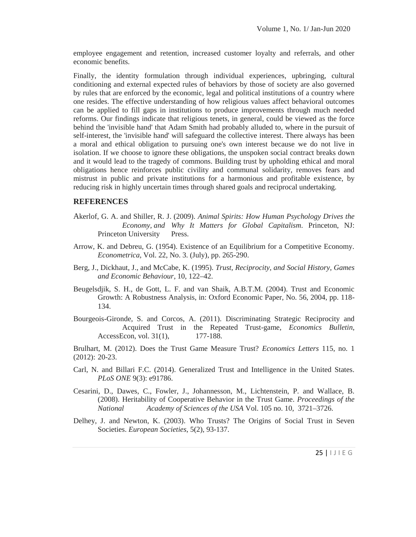employee engagement and retention, increased customer loyalty and referrals, and other economic benefits.

Finally, the identity formulation through individual experiences, upbringing, cultural conditioning and external expected rules of behaviors by those of society are also governed by rules that are enforced by the economic, legal and political institutions of a country where one resides. The effective understanding of how religious values affect behavioral outcomes can be applied to fill gaps in institutions to produce improvements through much needed reforms. Our findings indicate that religious tenets, in general, could be viewed as the force behind the 'invisible hand' that Adam Smith had probably alluded to, where in the pursuit of self-interest, the 'invisible hand' will safeguard the collective interest. There always has been a moral and ethical obligation to pursuing one's own interest because we do not live in isolation. If we choose to ignore these obligations, the unspoken social contract breaks down and it would lead to the tragedy of commons. Building trust by upholding ethical and moral obligations hence reinforces public civility and communal solidarity, removes fears and mistrust in public and private institutions for a harmonious and profitable existence, by reducing risk in highly uncertain times through shared goals and reciprocal undertaking.

#### **REFERENCES**

- Akerlof, G. A. and Shiller, R. J. (2009). *Animal Spirits: How Human Psychology Drives the Economy, and Why It Matters for Global Capitalism*. Princeton, NJ: Princeton University Press.
- Arrow, K. and Debreu, G. (1954). Existence of an Equilibrium for a Competitive Economy. *Econometrica,* Vol. 22, No. 3. (July), pp. 265-290.
- Berg, J., Dickhaut, J., and McCabe, K. (1995). *Trust, Reciprocity, and Social History, Games and Economic Behaviour*, 10, 122–42.
- Beugelsdjik, S. H., de Gott, L. F. and van Shaik, A.B.T.M. (2004). Trust and Economic Growth: A Robustness Analysis, in: Oxford Economic Paper, No. 56, 2004, pp. 118- 134.
- Bourgeois-Gironde, S. and Corcos, A. (2011). Discriminating Strategic Reciprocity and Acquired Trust in the Repeated Trust-game, *Economics Bulletin*, AccessEcon, vol. 31(1), 177-188.

Brulhart, M. (2012). Does the Trust Game Measure Trust? *Economics Letters* 115, no. 1 (2012): 20-23.

- Carl, N. and Billari F.C. (2014). Generalized Trust and Intelligence in the United States. *PLoS ONE* 9(3): e91786.
- Cesarini, D., Dawes, C., Fowler, J., Johannesson, M., Lichtenstein, P. and Wallace, B. (2008). Heritability of Cooperative Behavior in the Trust Game. *Proceedings of the National Academy of Sciences of the USA* Vol. 105 no. 10, 3721–3726.
- $25 / 20$ .<br>25 | I J I E G Delhey, J. and Newton, K. (2003). Who Trusts? The Origins of Social Trust in Seven Societies. *European Societies*, 5(2), 93-137.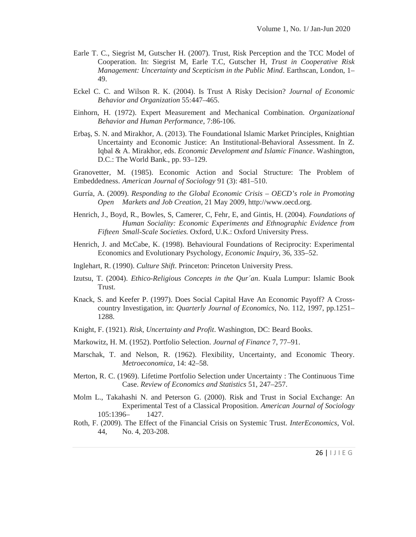- Earle T. C., Siegrist M, Gutscher H. (2007). Trust, Risk Perception and the TCC Model of Cooperation. In: Siegrist M, Earle T.C, Gutscher H, *Trust in Cooperative Risk Management: Uncertainty and Scepticism in the Public Mind*. Earthscan, London, 1– 49.
- Eckel C. C. and Wilson R. K. (2004). Is Trust A Risky Decision? *Journal of Economic Behavior and Organization* 55:447–465.
- Einhorn, H. (1972). Expert Measurement and Mechanical Combination. *Organizational Behavior and Human Performance*, 7:86-106.
- Erba, S. N. and Mirakhor, A. (2013). The Foundational Islamic Market Principles, Knightian Uncertainty and Economic Justice: An Institutional-Behavioral Assessment. In Z. Iqbal & A. Mirakhor, eds. *Economic Development and Islamic Finance*. Washington, D.C.: The World Bank., pp. 93–129.

Granovetter, M. (1985). Economic Action and Social Structure: The Problem of Embeddedness. *American Journal of Sociology* 91 (3): 481–510.

- Gurría, A. (2009). *Responding to the Global Economic Crisis – OECD's role in Promoting Open Markets and Job Creation*, 21 May 2009, http://www.oecd.org.
- Henrich, J., Boyd, R., Bowles, S, Camerer, C, Fehr, E, and Gintis, H. (2004). *Foundations of Human Sociality: Economic Experiments and Ethnographic Evidence from Fifteen Small-Scale Societies.* Oxford, U.K.: Oxford University Press.
- Henrich, J. and McCabe, K. (1998). Behavioural Foundations of Reciprocity: Experimental Economics and Evolutionary Psychology, *Economic Inquiry*, 36, 335–52.
- Inglehart, R. (1990). *Culture Shift*. Princeton: Princeton University Press.
- Izutsu, T. (2004). *Ethico-Religious Concepts in the Qur´an*. Kuala Lumpur: Islamic Book Trust.
- Knack, S. and Keefer P. (1997). Does Social Capital Have An Economic Payoff? A Cross country Investigation, in: *Quarterly Journal of Economics*, No. 112, 1997, pp.1251– 1288.
- Knight, F. (1921). *Risk, Uncertainty and Profit*. Washington, DC: Beard Books.
- Markowitz, H. M. (1952). Portfolio Selection. *Journal of Finance* 7, 77–91.
- Marschak, T. and Nelson, R. (1962). Flexibility, Uncertainty, and Economic Theory. *Metroeconomica*, 14: 42–58.
- Merton, R. C. (1969). Lifetime Portfolio Selection under Uncertainty : The Continuous Time Case. *Review of Economics and Statistics* 51, 247–257.
- Molm L., Takahashi N. and Peterson G. (2000). Risk and Trust in Social Exchange: An Experimental Test of a Classical Proposition. *American Journal of Sociology* 105:1396– 1427.
- $nonics, Vol.$ <br>26 | I J I E G Roth, F. (2009). The Effect of the Financial Crisis on Systemic Trust. *InterEconomics*, Vol. 44, No. 4, 203-208.